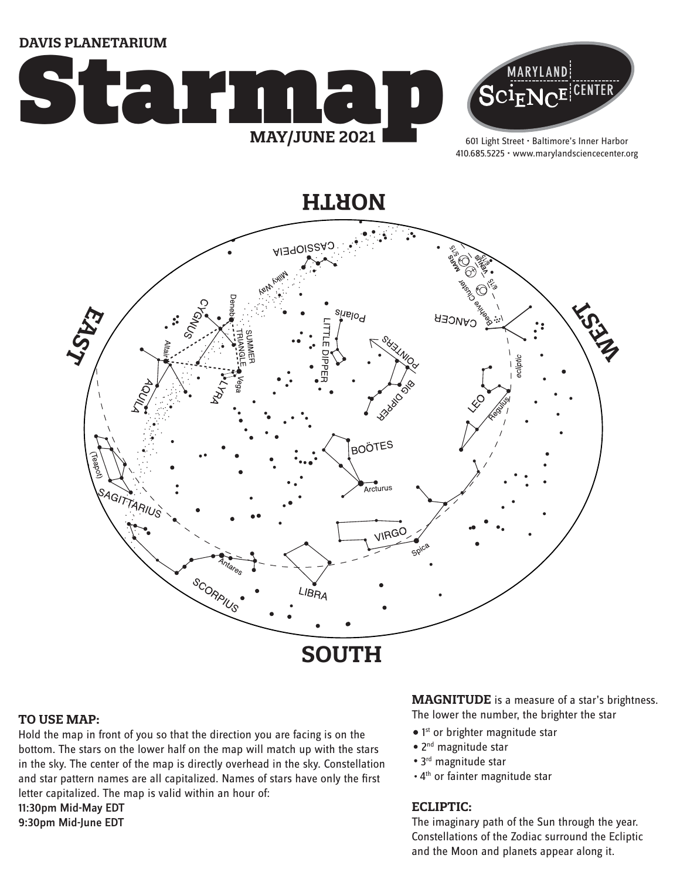**DAVIS PLANETARIUM**





601 Light Street • Baltimore's Inner Harbor 410.685.5225 • www.marylandsciencecenter.org

**NORTH**



#### **TO USE MAP:**

Hold the map in front of you so that the direction you are facing is on the bottom. The stars on the lower half on the map will match up with the stars in the sky. The center of the map is directly overhead in the sky. Constellation and star pattern names are all capitalized. Names of stars have only the first letter capitalized. The map is valid within an hour of: 11:30pm Mid-May EDT 9:30pm Mid-June EDT

**MAGNITUDE** is a measure of a star's brightness. The lower the number, the brighter the star

- 1<sup>st</sup> or brighter magnitude star
- 2<sup>nd</sup> magnitude star
- 3<sup>rd</sup> magnitude star
- . 4<sup>th</sup> or fainter magnitude star

### **ECLIPTIC:**

The imaginary path of the Sun through the year. Constellations of the Zodiac surround the Ecliptic and the Moon and planets appear along it.